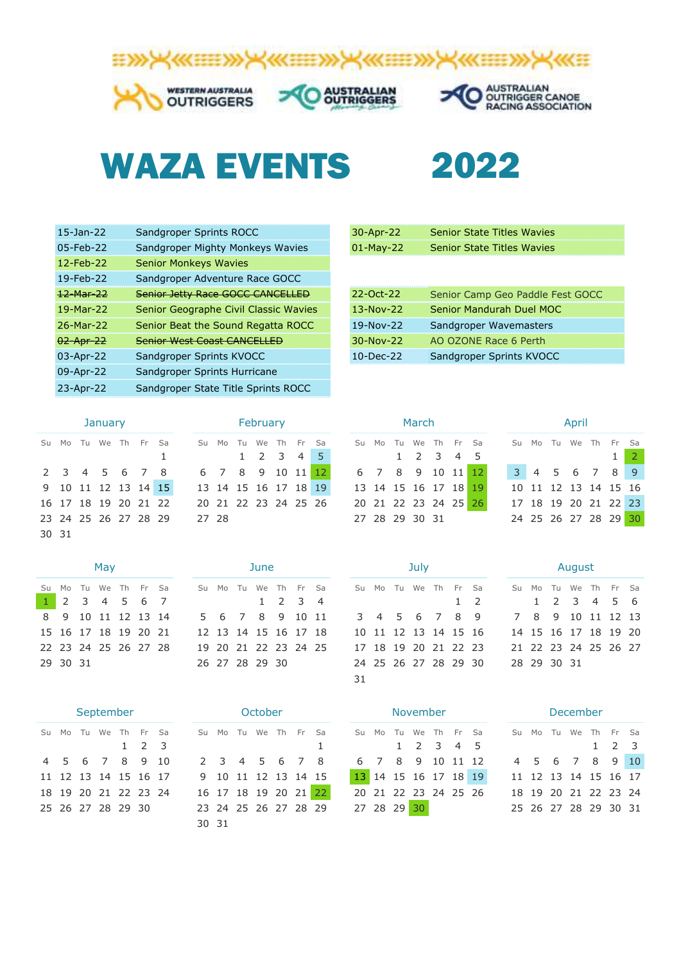

30-Apr-22

## WAZA EVENTS 2022

| $15 - Jan - 22$ | Sandgroper Sprints ROCC               | 30-Apr-22    | <b>Senior State Titles Wavies</b> |
|-----------------|---------------------------------------|--------------|-----------------------------------|
| $05$ -Feb-22    | Sandgroper Mighty Monkeys Wavies      | $01$ -May-22 | <b>Senior State Titles Wavies</b> |
| $12$ -Feb-22    | <b>Senior Monkeys Wavies</b>          |              |                                   |
| 19-Feb-22       | Sandgroper Adventure Race GOCC        |              |                                   |
| 12-Mar-22       | Senior Jetty Race GOCC CANCELLED      | 22-Oct-22    | Senior Camp Geo Paddle F          |
| 19-Mar-22       | Senior Geographe Civil Classic Wavies | $13-Nov-22$  | Senior Mandurah Duel MOO          |
| 26-Mar-22       | Senior Beat the Sound Regatta ROCC    | 19-Nov-22    | Sandgroper Wavemasters            |
| 02 Apr 22       | <b>Senior West Coast CANCELLED</b>    | 30-Nov-22    | AO OZONE Race 6 Perth             |
| 03-Apr-22       | Sandgroper Sprints KVOCC              | $10$ -Dec-22 | Sandgroper Sprints KVOCC          |
| 09-Apr-22       | Sandgroper Sprints Hurricane          |              |                                   |
| 23-Apr-22       | Sandgroper State Title Sprints ROCC   |              |                                   |
|                 |                                       |              |                                   |

| 30-Apr-22    | <b>Senior State Titles Wavies</b> |
|--------------|-----------------------------------|
| $01$ -May-22 | <b>Senior State Titles Wavies</b> |
|              |                                   |
|              |                                   |
| 22-Oct-22    | Senior Camp Geo Paddle Fest GOCC  |
| 13-Nov-22    | Senior Mandurah Duel MOC          |
| 19-Nov-22    | Sandgroper Wavemasters            |
| $30-Nov-22$  | AO OZONE Race 6 Perth             |
| $10$ -Dec-22 | Sandgroper Sprints KVOCC          |

|       | January |  |                      |  |  |   |  |  |  |  |  |  |  |  |
|-------|---------|--|----------------------|--|--|---|--|--|--|--|--|--|--|--|
|       |         |  | Su Mo Tu We Th Fr Sa |  |  |   |  |  |  |  |  |  |  |  |
|       |         |  |                      |  |  | 1 |  |  |  |  |  |  |  |  |
|       |         |  | 2 3 4 5 6 7 8        |  |  |   |  |  |  |  |  |  |  |  |
|       |         |  | 9 10 11 12 13 14 15  |  |  |   |  |  |  |  |  |  |  |  |
|       |         |  | 16 17 18 19 20 21 22 |  |  |   |  |  |  |  |  |  |  |  |
|       |         |  | 23 24 25 26 27 28 29 |  |  |   |  |  |  |  |  |  |  |  |
| 30 31 |         |  |                      |  |  |   |  |  |  |  |  |  |  |  |

| May                 |  |  |  |  |                     |  |  |  |  |  |  |  |  |  |
|---------------------|--|--|--|--|---------------------|--|--|--|--|--|--|--|--|--|
|                     |  |  |  |  | Su Mo Tu We Th Fr S |  |  |  |  |  |  |  |  |  |
| $1$ 2 3 4 5 6 7     |  |  |  |  |                     |  |  |  |  |  |  |  |  |  |
|                     |  |  |  |  | 8 9 10 11 12 13 1   |  |  |  |  |  |  |  |  |  |
|                     |  |  |  |  | 15 16 17 18 19 20 2 |  |  |  |  |  |  |  |  |  |
| 22 23 24 25 26 27 2 |  |  |  |  |                     |  |  |  |  |  |  |  |  |  |
| 29 30 31            |  |  |  |  |                     |  |  |  |  |  |  |  |  |  |

| September |  |  |                     |  |                     |  |  |  |  |  |  |  |  |
|-----------|--|--|---------------------|--|---------------------|--|--|--|--|--|--|--|--|
|           |  |  | Su Mo Tu We Th Fr S |  |                     |  |  |  |  |  |  |  |  |
|           |  |  |                     |  | $1 \quad 2 \quad 3$ |  |  |  |  |  |  |  |  |
|           |  |  | 4 5 6 7 8 9 1       |  |                     |  |  |  |  |  |  |  |  |
|           |  |  | 11 12 13 14 15 16 1 |  |                     |  |  |  |  |  |  |  |  |
|           |  |  | 18 19 20 21 22 23 2 |  |                     |  |  |  |  |  |  |  |  |
|           |  |  | 25 26 27 28 29 30   |  |                     |  |  |  |  |  |  |  |  |
|           |  |  |                     |  |                     |  |  |  |  |  |  |  |  |

| January        |  |   |       |  | February             |  |  |
|----------------|--|---|-------|--|----------------------|--|--|
| u We The Frasa |  |   |       |  | Su Mo Tu We Th Fr Sa |  |  |
|                |  | 1 |       |  | 1 2 3 4 5            |  |  |
| 45678          |  |   |       |  | 6 7 8 9 10 11 12     |  |  |
| 1 12 13 14 15  |  |   |       |  | 13 14 15 16 17 18 19 |  |  |
| 8 19 20 21 22  |  |   |       |  | 20 21 22 23 24 25 26 |  |  |
| 5 26 27 28 29  |  |   | 27 28 |  |                      |  |  |

| May      |  |  |  |  |                                    |  |  | June |  |                      |  | July |  |  |                                                                              |  | August |  |
|----------|--|--|--|--|------------------------------------|--|--|------|--|----------------------|--|------|--|--|------------------------------------------------------------------------------|--|--------|--|
|          |  |  |  |  |                                    |  |  |      |  |                      |  |      |  |  | Su Mo Tu We Th Fr Sa Su Mo Tu We Th Fr Sa Su Mo Tu We Th Fr Sa Su Mo Tu We T |  |        |  |
|          |  |  |  |  | 1 2 3 4 5 6 7 1 2 3 4              |  |  |      |  |                      |  |      |  |  | 1 2 1 2 3                                                                    |  |        |  |
|          |  |  |  |  | 8 9 10 11 12 13 14 5 6 7 8 9 10 11 |  |  |      |  |                      |  |      |  |  | 3 4 5 6 7 8 9 7 8 9 10 1                                                     |  |        |  |
|          |  |  |  |  | 15 16 17 18 19 20 21               |  |  |      |  | 12 13 14 15 16 17 18 |  |      |  |  | 10 11 12 13 14 15 16 14 15 16 17 1                                           |  |        |  |
|          |  |  |  |  | 22 23 24 25 26 27 28               |  |  |      |  |                      |  |      |  |  | 19 20 21 22 23 24 25 17 18 19 20 21 22 23 21 22 23 24 2                      |  |        |  |
| 29 30 31 |  |  |  |  |                                    |  |  |      |  |                      |  |      |  |  |                                                                              |  |        |  |

|       |  | October |                      |   |
|-------|--|---------|----------------------|---|
|       |  |         | Su Mo Tu We Th Fr Sa |   |
|       |  |         |                      | 1 |
|       |  |         | 2 3 4 5 6 7 8        |   |
|       |  |         | 9 10 11 12 13 14 15  |   |
|       |  |         | 16 17 18 19 20 21 22 |   |
|       |  |         | 23 24 25 26 27 28 29 |   |
| 30 31 |  |         |                      |   |

| . |  |                      |  |  |  |  |  |  |  |  |  |  |
|---|--|----------------------|--|--|--|--|--|--|--|--|--|--|
|   |  | Su Mo Tu We Th Fr Sa |  |  |  |  |  |  |  |  |  |  |
|   |  | $1 \t2 \t3 \t4 \t5$  |  |  |  |  |  |  |  |  |  |  |
|   |  | 6 7 8 9 10 11 12     |  |  |  |  |  |  |  |  |  |  |
|   |  | 13 14 15 16 17 18 19 |  |  |  |  |  |  |  |  |  |  |
|   |  | 20 21 22 23 24 25 26 |  |  |  |  |  |  |  |  |  |  |
|   |  | 27 28 29 30 31       |  |  |  |  |  |  |  |  |  |  |

|    | July |  |  |  |                     |    |  |  |  |  |  |  |  |  |  |
|----|------|--|--|--|---------------------|----|--|--|--|--|--|--|--|--|--|
|    |      |  |  |  | Su Mo Tu We Th Fr   | S  |  |  |  |  |  |  |  |  |  |
|    |      |  |  |  | $1 \quad$           | j  |  |  |  |  |  |  |  |  |  |
|    |      |  |  |  | 3 4 5 6 7 8         | J. |  |  |  |  |  |  |  |  |  |
|    |      |  |  |  | 10 11 12 13 14 15 1 |    |  |  |  |  |  |  |  |  |  |
|    |      |  |  |  | 17 18 19 20 21 22 2 |    |  |  |  |  |  |  |  |  |  |
|    |      |  |  |  | 24 25 26 27 28 29 3 |    |  |  |  |  |  |  |  |  |  |
| 31 |      |  |  |  |                     |    |  |  |  |  |  |  |  |  |  |

|                      | September |  |  |  |                   |  |                                                                       | October              |  |  |                                |  | November |             |  |                      |                      | December             |  |                   |  |
|----------------------|-----------|--|--|--|-------------------|--|-----------------------------------------------------------------------|----------------------|--|--|--------------------------------|--|----------|-------------|--|----------------------|----------------------|----------------------|--|-------------------|--|
|                      |           |  |  |  |                   |  | Su Mo Tu We Th Fr Sa     Su Mo Tu We Th Fr Sa    Su Mo Tu We Th Fr Sa |                      |  |  |                                |  |          |             |  |                      | Su Mo Tu We Th Fr Sa |                      |  |                   |  |
|                      |           |  |  |  | $1\quad 2\quad 3$ |  |                                                                       |                      |  |  |                                |  |          |             |  | 1 1 2 3 4 5          |                      |                      |  | $1\quad 2\quad 3$ |  |
| 4 5 6 7 8 9 10       |           |  |  |  |                   |  |                                                                       |                      |  |  | 2 3 4 5 6 7 8 6 7 8 9 10 11 12 |  |          |             |  |                      |                      | 4 5 6 7 8 9 10       |  |                   |  |
| 11 12 13 14 15 16 17 |           |  |  |  |                   |  |                                                                       |                      |  |  | 9 10 11 12 13 14 15            |  |          |             |  | 13 14 15 16 17 18 19 |                      | 11 12 13 14 15 16 17 |  |                   |  |
| 18 19 20 21 22 23 24 |           |  |  |  |                   |  |                                                                       |                      |  |  | 16 17 18 19 20 21 22           |  |          |             |  | 20 21 22 23 24 25 26 |                      | 18 19 20 21 22 23 24 |  |                   |  |
| 25 26 27 28 29 30    |           |  |  |  |                   |  |                                                                       | 23 24 25 26 27 28 29 |  |  |                                |  |          | 27 28 29 30 |  |                      |                      | 25 26 27 28 29 30 31 |  |                   |  |
|                      |           |  |  |  |                   |  |                                                                       |                      |  |  |                                |  |          |             |  |                      |                      |                      |  |                   |  |

| January |  |                      |  |  |                     |                                           |                      | February |  |  |  |                | March |  |                      |                                                   |  | April |                      |             |
|---------|--|----------------------|--|--|---------------------|-------------------------------------------|----------------------|----------|--|--|--|----------------|-------|--|----------------------|---------------------------------------------------|--|-------|----------------------|-------------|
|         |  |                      |  |  |                     | Su Mo Tu We Th Fr Sa Su Mo Tu We Th Fr Sa |                      |          |  |  |  |                |       |  |                      | Su Mo Tu We The Fre Sang Su Mo Tu We The Fre Sang |  |       |                      |             |
|         |  |                      |  |  |                     |                                           | 1 2 3 4 5            |          |  |  |  | 1 2 3 4 5      |       |  |                      |                                                   |  |       |                      | $1 \quad 2$ |
|         |  | 2 3 4 5 6 7 8        |  |  |                     | 6 7 8 9 10 11 12                          |                      |          |  |  |  |                |       |  | 6 7 8 9 10 11 12     |                                                   |  |       | 3 4 5 6 7 8 9        |             |
|         |  |                      |  |  | 9 10 11 12 13 14 15 |                                           | 13 14 15 16 17 18 19 |          |  |  |  |                |       |  | 13 14 15 16 17 18 19 |                                                   |  |       | 10 11 12 13 14 15 16 |             |
|         |  | 16 17 18 19 20 21 22 |  |  |                     |                                           | 20 21 22 23 24 25 26 |          |  |  |  |                |       |  | 20 21 22 23 24 25 26 |                                                   |  |       | 17 18 19 20 21 22 23 |             |
|         |  | 23 24 25 26 27 28 29 |  |  |                     |                                           | 27 28                |          |  |  |  | 27 28 29 30 31 |       |  |                      |                                                   |  |       | 24 25 26 27 28 29 30 |             |

|  |          | -May |  |                      |                                                                                     |  |                |  |  |  | JUIV. |  |                                           | and the contract of the August 1999. |  |  |                      |  |
|--|----------|------|--|----------------------|-------------------------------------------------------------------------------------|--|----------------|--|--|--|-------|--|-------------------------------------------|--------------------------------------|--|--|----------------------|--|
|  |          |      |  |                      | Su Mo Tu We Th Fr Sa Su Mo Tu We Th Fr Sa Su Mo Tu We Th Fr Sa Su Mo Tu We Th Fr Sa |  |                |  |  |  |       |  |                                           |                                      |  |  |                      |  |
|  |          |      |  |                      | 1 2 3 4 5 6 7 1 2 3 4                                                               |  |                |  |  |  |       |  | 1 2 1 2 3 4 5 6                           |                                      |  |  |                      |  |
|  |          |      |  |                      | 8 9 10 11 12 13 14 5 6 7 8 9 10 11 3 4 5 6 7 8 9 7 8 9 10 11 12 13                  |  |                |  |  |  |       |  |                                           |                                      |  |  |                      |  |
|  |          |      |  | 15 16 17 18 19 20 21 | 12 13 14 15 16 17 18                                                                |  |                |  |  |  |       |  | 10 11 12 13 14 15 16 14 15 16 17 18 19 20 |                                      |  |  |                      |  |
|  |          |      |  | 22 23 24 25 26 27 28 | 19 20 21 22 23 24 25                                                                |  |                |  |  |  |       |  | 17 18 19 20 21 22 23                      |                                      |  |  | 21 22 23 24 25 26 27 |  |
|  | 29 30 31 |      |  |                      |                                                                                     |  | 26 27 28 29 30 |  |  |  |       |  | 24 25 26 27 28 29 30 28 29 30 31          |                                      |  |  |                      |  |
|  |          |      |  |                      |                                                                                     |  |                |  |  |  |       |  |                                           |                                      |  |  |                      |  |

|  |  |                   |                      | September – October                                                                 |                     |  |  |                                | <b>AND A REAL PROPERTY AND INCOME IN THE REAL PROPERTY.</b> |  |  |                                  |  | <u>Production in the product of the product of the product of the product of the product of the product of the pr</u> |  |  |
|--|--|-------------------|----------------------|-------------------------------------------------------------------------------------|---------------------|--|--|--------------------------------|-------------------------------------------------------------|--|--|----------------------------------|--|-----------------------------------------------------------------------------------------------------------------------|--|--|
|  |  |                   |                      | Su Mo Tu We Th Fr Sa Su Mo Tu We Th Fr Sa Su Mo Tu We Th Fr Sa Su Mo Tu We Th Fr Sa |                     |  |  |                                |                                                             |  |  |                                  |  |                                                                                                                       |  |  |
|  |  | $1\quad 2\quad 3$ |                      |                                                                                     |                     |  |  | 1 1 2 3 4 5                    |                                                             |  |  |                                  |  | $1 \quad 2 \quad 3$                                                                                                   |  |  |
|  |  |                   | 4 5 6 7 8 9 10       |                                                                                     |                     |  |  | 2 3 4 5 6 7 8 6 7 8 9 10 11 12 |                                                             |  |  |                                  |  | 4 5 6 7 8 9 10                                                                                                        |  |  |
|  |  |                   | 11 12 13 14 15 16 17 |                                                                                     | 9 10 11 12 13 14 15 |  |  |                                |                                                             |  |  | 13 14 15 16 17 18 19             |  | 11 12 13 14 15 16 17                                                                                                  |  |  |
|  |  |                   | 18 19 20 21 22 23 24 |                                                                                     |                     |  |  | 16 17 18 19 20 21 22           |                                                             |  |  | 20 21 22 23 24 25 26             |  | 18 19 20 21 22 23 24                                                                                                  |  |  |
|  |  |                   | 25 26 27 28 29 30    | 23 24 25 26 27 28 29                                                                |                     |  |  |                                |                                                             |  |  | 27 28 29 30 25 26 27 28 29 30 31 |  |                                                                                                                       |  |  |
|  |  |                   |                      |                                                                                     |                     |  |  |                                |                                                             |  |  |                                  |  |                                                                                                                       |  |  |